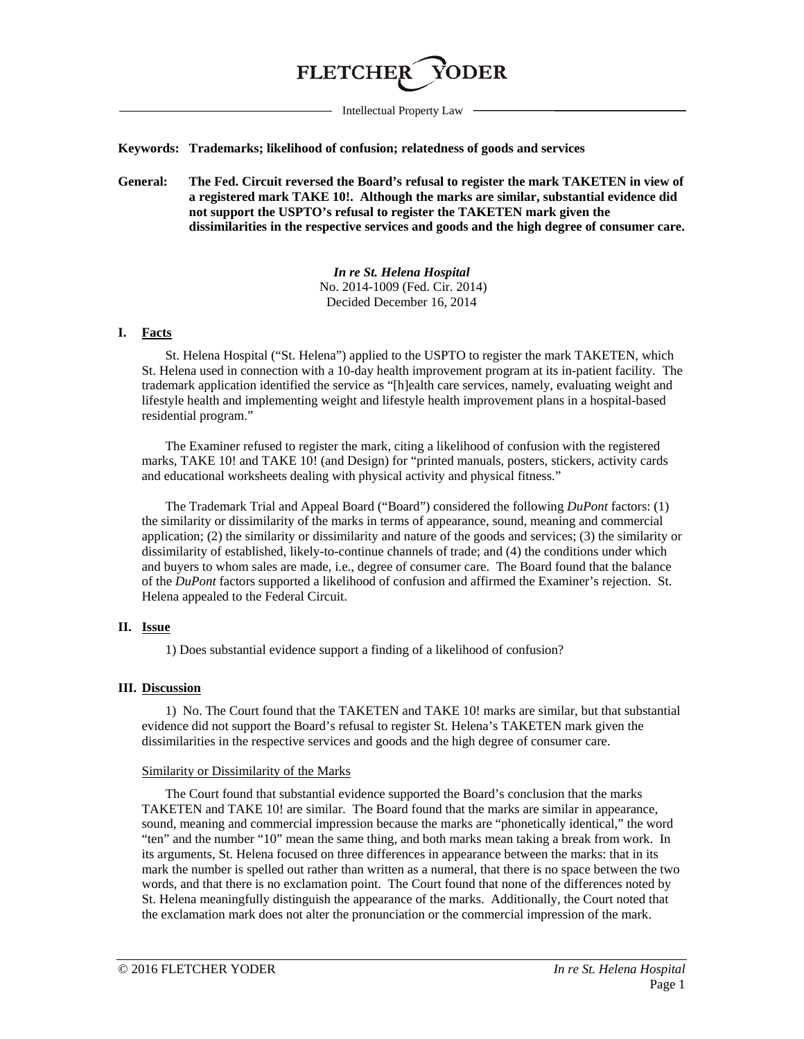# **FLETCHE**

Intellectual Property Law

**Keywords: Trademarks; likelihood of confusion; relatedness of goods and services**

**General: The Fed. Circuit reversed the Board's refusal to register the mark TAKETEN in view of a registered mark TAKE 10!. Although the marks are similar, substantial evidence did not support the USPTO's refusal to register the TAKETEN mark given the dissimilarities in the respective services and goods and the high degree of consumer care.**

> *In re St. Helena Hospital* No. 2014-1009 (Fed. Cir. 2014) Decided December 16, 2014

## **I. Facts**

St. Helena Hospital ("St. Helena") applied to the USPTO to register the mark TAKETEN, which St. Helena used in connection with a 10-day health improvement program at its in-patient facility. The trademark application identified the service as "[h]ealth care services, namely, evaluating weight and lifestyle health and implementing weight and lifestyle health improvement plans in a hospital-based residential program."

The Examiner refused to register the mark, citing a likelihood of confusion with the registered marks, TAKE 10! and TAKE 10! (and Design) for "printed manuals, posters, stickers, activity cards and educational worksheets dealing with physical activity and physical fitness."

The Trademark Trial and Appeal Board ("Board") considered the following *DuPont* factors: (1) the similarity or dissimilarity of the marks in terms of appearance, sound, meaning and commercial application; (2) the similarity or dissimilarity and nature of the goods and services; (3) the similarity or dissimilarity of established, likely-to-continue channels of trade; and (4) the conditions under which and buyers to whom sales are made, i.e., degree of consumer care. The Board found that the balance of the *DuPont* factors supported a likelihood of confusion and affirmed the Examiner's rejection. St. Helena appealed to the Federal Circuit.

# **II. Issue**

1) Does substantial evidence support a finding of a likelihood of confusion?

#### **III. Discussion**

1) No. The Court found that the TAKETEN and TAKE 10! marks are similar, but that substantial evidence did not support the Board's refusal to register St. Helena's TAKETEN mark given the dissimilarities in the respective services and goods and the high degree of consumer care.

#### Similarity or Dissimilarity of the Marks

The Court found that substantial evidence supported the Board's conclusion that the marks TAKETEN and TAKE 10! are similar. The Board found that the marks are similar in appearance, sound, meaning and commercial impression because the marks are "phonetically identical," the word "ten" and the number "10" mean the same thing, and both marks mean taking a break from work. In its arguments, St. Helena focused on three differences in appearance between the marks: that in its mark the number is spelled out rather than written as a numeral, that there is no space between the two words, and that there is no exclamation point. The Court found that none of the differences noted by St. Helena meaningfully distinguish the appearance of the marks. Additionally, the Court noted that the exclamation mark does not alter the pronunciation or the commercial impression of the mark.